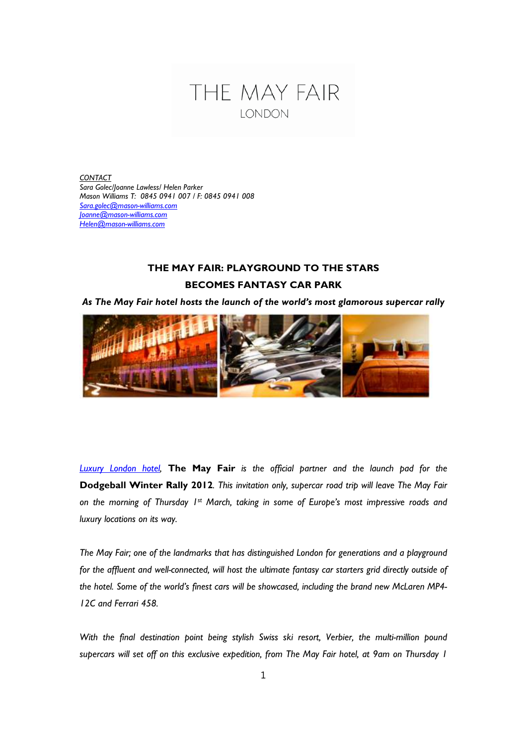

*CONTACT Sara Golec/Joanne Lawless/ Helen Parker Mason Williams T: 0845 0941 007 / F: 0845 0941 008 Sara.golec@mason-williams.com Joanne@mason-williams.com Helen@mason-williams.com*

## **THE MAY FAIR: PLAYGROUND TO THE STARS BECOMES FANTASY CAR PARK**

*As The May Fair hotel hosts the launch of the world's most glamorous supercar rally*



*Luxury London hotel,* **The May Fair** *is the official partner and the launch pad for the* **Dodgeball Winter Rally 2012***. This invitation only, supercar road trip will leave The May Fair on the morning of Thursday 1st March, taking in some of Europe's most impressive roads and luxury locations on its way.*

*The May Fair; one of the landmarks that has distinguished London for generations and a playground for the affluent and well-connected, will host the ultimate fantasy car starters grid directly outside of the hotel. Some of the world's finest cars will be showcased, including the brand new McLaren MP4- 12C and Ferrari 458.*

*With the final destination point being stylish Swiss ski resort, Verbier, the multi-million pound supercars will set off on this exclusive expedition, from The May Fair hotel, at 9am on Thursday 1*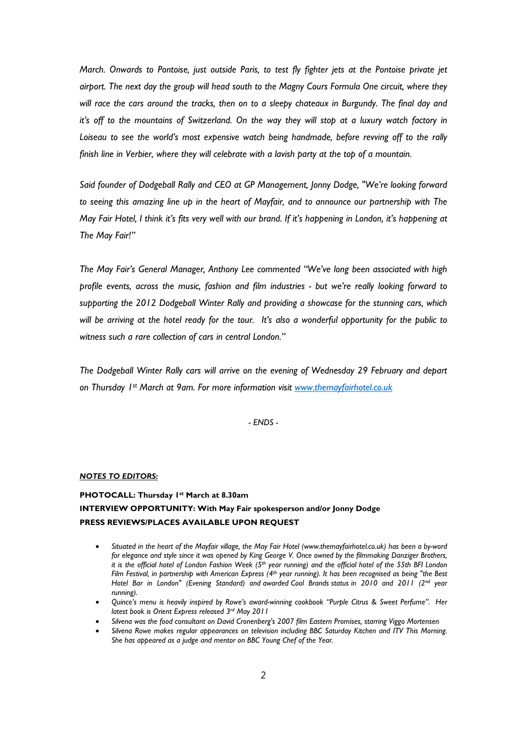*March. Onwards to Pontoise, just outside Paris, to test fly fighter jets at the Pontoise private jet airport. The next day the group will head south to the Magny Cours Formula One circuit, where they will race the cars around the tracks, then on to a sleepy chateaux in Burgundy. The final day and it's off to the mountains of Switzerland. On the way they will stop at a luxury watch factory in Loiseau to see the world's most expensive watch being handmade, before revving off to the rally finish line in Verbier, where they will celebrate with a lavish party at the top of a mountain.*

*Said founder of Dodgeball Rally and CEO at GP Management, Jonny Dodge, "We're looking forward to seeing this amazing line up in the heart of Mayfair, and to announce our partnership with The May Fair Hotel, I think it's fits very well with our brand. If it's happening in London, it's happening at The May Fair!"*

*The May Fair's General Manager, Anthony Lee commented "We've long been associated with high profile events, across the music, fashion and film industries - but we're really looking forward to supporting the 2012 Dodgeball Winter Rally and providing a showcase for the stunning cars, which will be arriving at the hotel ready for the tour. It's also a wonderful opportunity for the public to witness such a rare collection of cars in central London."*

*The Dodgeball Winter Rally cars will arrive on the evening of Wednesday 29 February and depart on Thursday 1st March at 9am. For more information visit www.themayfairhotel.co.uk*

*- ENDS -*

## *NOTES TO EDITORS:*

## **PHOTOCALL: Thursday 1st March at 8.30am INTERVIEW OPPORTUNITY: With May Fair spokesperson and/or Jonny Dodge PRESS REVIEWS/PLACES AVAILABLE UPON REQUEST**

- *Situated in the heart of the Mayfair village, the May Fair Hotel (www.themayfairhotel.co.uk) has been a by-word for elegance and style since it was opened by King George V. Once owned by the filmmaking Danziger Brothers, it is the official hotel of London Fashion Week (5th year running) and the official hotel of the 55th BFI London Film Festival, in partnership with American Express (4th year running). It has been recognised as being "the Best Hotel Bar in London" (Evening Standard) and awarded Cool Brands status in 2010 and 2011 (2nd year running).*
- *Quince's menu is heavily inspired by Rowe's award-winning cookbook "Purple Citrus & Sweet Perfume". Her latest book is Orient Express released 3rd May 2011*
- *Silvena was the food consultant on David Cronenberg's 2007 film Eastern Promises, starring Viggo Mortensen*
- *Silvena Rowe makes regular appearances on television including BBC Saturday Kitchen and ITV This Morning. She has appeared as a judge and mentor on BBC Young Chef of the Year.*